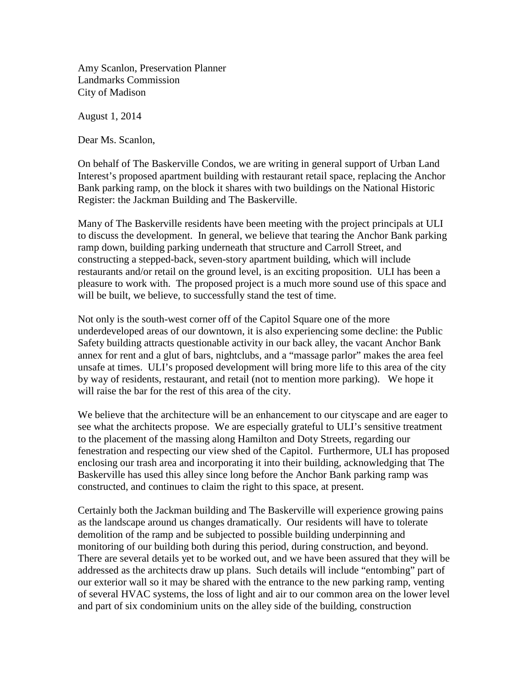Amy Scanlon, Preservation Planner Landmarks Commission City of Madison

August 1, 2014

Dear Ms. Scanlon,

On behalf of The Baskerville Condos, we are writing in general support of Urban Land Interest's proposed apartment building with restaurant retail space, replacing the Anchor Bank parking ramp, on the block it shares with two buildings on the National Historic Register: the Jackman Building and The Baskerville.

Many of The Baskerville residents have been meeting with the project principals at ULI to discuss the development. In general, we believe that tearing the Anchor Bank parking ramp down, building parking underneath that structure and Carroll Street, and constructing a stepped-back, seven-story apartment building, which will include restaurants and/or retail on the ground level, is an exciting proposition. ULI has been a pleasure to work with. The proposed project is a much more sound use of this space and will be built, we believe, to successfully stand the test of time.

Not only is the south-west corner off of the Capitol Square one of the more underdeveloped areas of our downtown, it is also experiencing some decline: the Public Safety building attracts questionable activity in our back alley, the vacant Anchor Bank annex for rent and a glut of bars, nightclubs, and a "massage parlor" makes the area feel unsafe at times. ULI's proposed development will bring more life to this area of the city by way of residents, restaurant, and retail (not to mention more parking). We hope it will raise the bar for the rest of this area of the city.

We believe that the architecture will be an enhancement to our cityscape and are eager to see what the architects propose. We are especially grateful to ULI's sensitive treatment to the placement of the massing along Hamilton and Doty Streets, regarding our fenestration and respecting our view shed of the Capitol. Furthermore, ULI has proposed enclosing our trash area and incorporating it into their building, acknowledging that The Baskerville has used this alley since long before the Anchor Bank parking ramp was constructed, and continues to claim the right to this space, at present.

Certainly both the Jackman building and The Baskerville will experience growing pains as the landscape around us changes dramatically. Our residents will have to tolerate demolition of the ramp and be subjected to possible building underpinning and monitoring of our building both during this period, during construction, and beyond. There are several details yet to be worked out, and we have been assured that they will be addressed as the architects draw up plans. Such details will include "entombing" part of our exterior wall so it may be shared with the entrance to the new parking ramp, venting of several HVAC systems, the loss of light and air to our common area on the lower level and part of six condominium units on the alley side of the building, construction